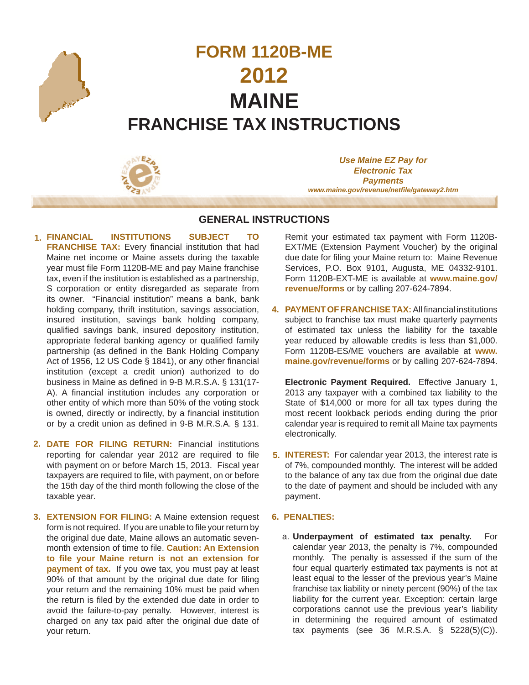

# **FORM 1120B-ME 2012 MAINE FRANCHISE TAX INSTRUCTIONS**



*Use Maine EZ Pay for Electronic Tax Payments www.maine.gov/revenue/netfi le/gateway2.htm*

## **GENERAL INSTRUCTIONS**

- **FINANCIAL INSTITUTIONS SUBJECT TO FRANCHISE TAX:** Every financial institution that had Maine net income or Maine assets during the taxable year must file Form 1120B-ME and pay Maine franchise tax, even if the institution is established as a partnership, S corporation or entity disregarded as separate from its owner. "Financial institution" means a bank, bank holding company, thrift institution, savings association, insured institution, savings bank holding company, qualified savings bank, insured depository institution, appropriate federal banking agency or qualified family partnership (as defined in the Bank Holding Company Act of 1956, 12 US Code § 1841), or any other financial institution (except a credit union) authorized to do business in Maine as defined in 9-B M.R.S.A. § 131(17-A). A financial institution includes any corporation or other entity of which more than 50% of the voting stock is owned, directly or indirectly, by a financial institution or by a credit union as defined in 9-B M.R.S.A. § 131.  **1.**
- **DATE FOR FILING RETURN:** Financial institutions **2.** reporting for calendar year 2012 are required to file with payment on or before March 15, 2013. Fiscal year taxpayers are required to file, with payment, on or before the 15th day of the third month following the close of the taxable year.
- **EXTENSION FOR FILING:** A Maine extension request  **3.** form is not required. If you are unable to file your return by the original due date, Maine allows an automatic sevenmonth extension of time to file. **Caution: An Extension to fi le your Maine return is not an extension for payment of tax.** If you owe tax, you must pay at least 90% of that amount by the original due date for filing your return and the remaining 10% must be paid when the return is filed by the extended due date in order to avoid the failure-to-pay penalty. However, interest is charged on any tax paid after the original due date of your return.

Remit your estimated tax payment with Form 1120B-EXT/ME (Extension Payment Voucher) by the original due date for filing your Maine return to: Maine Revenue Services, P.O. Box 9101, Augusta, ME 04332-9101. Form 1120B-EXT-ME is available at **www.maine.gov/ revenue/forms** or by calling 207-624-7894.

4. PAYMENT OF FRANCHISE TAX: All financial institutions subject to franchise tax must make quarterly payments of estimated tax unless the liability for the taxable year reduced by allowable credits is less than \$1,000. Form 1120B-ES/ME vouchers are available at **www. maine.gov/revenue/forms** or by calling 207-624-7894.

**Electronic Payment Required.** Effective January 1, 2013 any taxpayer with a combined tax liability to the State of  $$14,000$  or more for all tax types during the most recent lookback periods ending during the prior calendar year is required to remit all Maine tax payments electronically.

**INTEREST:** For calendar year 2013, the interest rate is **5.** of 7%, compounded monthly. The interest will be added to the balance of any tax due from the original due date to the date of payment and should be included with any payment.

#### **6. PENALTIES:**

a. Underpayment of estimated tax penalty. For calendar year 2013, the penalty is 7%, compounded monthly. The penalty is assessed if the sum of the four equal quarterly estimated tax payments is not at least equal to the lesser of the previous year's Maine franchise tax liability or ninety percent (90%) of the tax liability for the current year. Exception: certain large corporations cannot use the previous year's liability in determining the required amount of estimated tax payments (see 36 M.R.S.A. § 5228(5)(C)).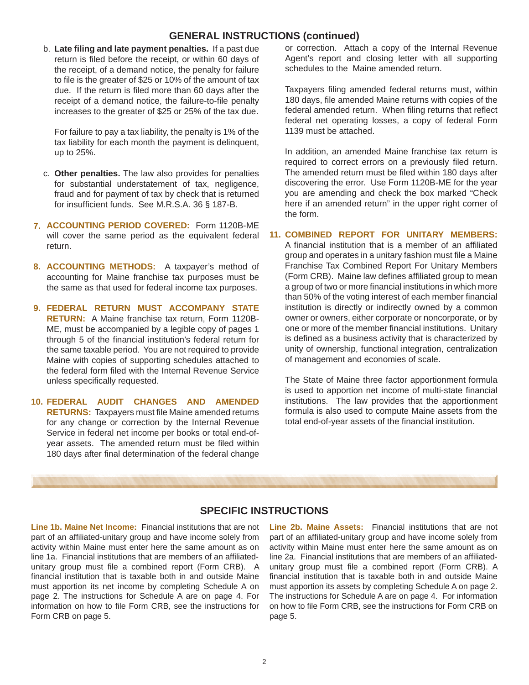## **GENERAL INSTRUCTIONS (continued)**

b. Late filing and late payment penalties. If a past due return is filed before the receipt, or within 60 days of the receipt, of a demand notice, the penalty for failure to file is the greater of \$25 or 10% of the amount of tax due. If the return is filed more than 60 days after the receipt of a demand notice, the failure-to-file penalty increases to the greater of \$25 or 25% of the tax due.

 For failure to pay a tax liability, the penalty is 1% of the tax liability for each month the payment is delinquent, up to 25%.

- c. Other penalties. The law also provides for penalties for substantial understatement of tax, negligence, fraud and for payment of tax by check that is returned for insufficient funds. See M.R.S.A. 36 § 187-B.
- **ACCOUNTING PERIOD COVERED:** Form 1120B-ME  **7.** will cover the same period as the equivalent federal return.
- **ACCOUNTING METHODS:** A taxpayer's method of **8.** accounting for Maine franchise tax purposes must be the same as that used for federal income tax purposes.
- **FEDERAL RETURN MUST ACCOMPANY STATE 9. RETURN:** A Maine franchise tax return, Form 1120B-ME, must be accompanied by a legible copy of pages 1 through 5 of the financial institution's federal return for the same taxable period. You are not required to provide Maine with copies of supporting schedules attached to the federal form filed with the Internal Revenue Service unless specifically requested.
- **FEDERAL AUDIT CHANGES AND AMENDED 10. RETURNS:** Taxpayers must file Maine amended returns for any change or correction by the Internal Revenue Service in federal net income per books or total end-ofyear assets. The amended return must be filed within 180 days after final determination of the federal change

or correction. Attach a copy of the Internal Revenue Agent's report and closing letter with all supporting schedules to the Maine amended return.

Taxpayers filing amended federal returns must, within 180 days, file amended Maine returns with copies of the federal amended return. When filing returns that reflect federal net operating losses, a copy of federal Form 1139 must be attached.

In addition, an amended Maine franchise tax return is required to correct errors on a previously filed return. The amended return must be filed within 180 days after discovering the error. Use Form 1120B-ME for the year you are amending and check the box marked "Check here if an amended return" in the upper right corner of the form.

#### **COMBINED REPORT FOR UNITARY MEMBERS: 11.**

A financial institution that is a member of an affiliated group and operates in a unitary fashion must file a Maine Franchise Tax Combined Report For Unitary Members (Form CRB). Maine law defines affiliated group to mean a group of two or more financial institutions in which more than 50% of the voting interest of each member financial institution is directly or indirectly owned by a common owner or owners, either corporate or noncorporate, or by one or more of the member financial institutions. Unitary is defined as a business activity that is characterized by unity of ownership, functional integration, centralization of management and economies of scale.

The State of Maine three factor apportionment formula is used to apportion net income of multi-state financial institutions. The law provides that the apportionment formula is also used to compute Maine assets from the total end-of-year assets of the financial institution.

## **SPECIFIC INSTRUCTIONS**

**Line 1b. Maine Net Income:** Financial institutions that are not part of an affiliated-unitary group and have income solely from activity within Maine must enter here the same amount as on line 1a. Financial institutions that are members of an affiliatedunitary group must file a combined report (Form CRB). A financial institution that is taxable both in and outside Maine must apportion its net income by completing Schedule A on page 2. The instructions for Schedule A are on page 4. For information on how to file Form CRB, see the instructions for Form CRB on page 5.

**Line 2b. Maine Assets:** Financial institutions that are not part of an affiliated-unitary group and have income solely from activity within Maine must enter here the same amount as on line 2a. Financial institutions that are members of an affiliatedunitary group must file a combined report (Form CRB). A financial institution that is taxable both in and outside Maine must apportion its assets by completing Schedule A on page 2. The instructions for Schedule A are on page 4. For information on how to file Form CRB, see the instructions for Form CRB on page 5.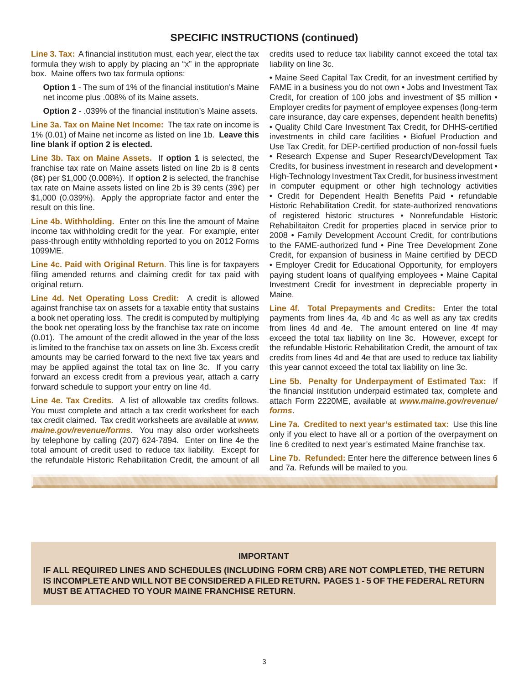## **SPECIFIC INSTRUCTIONS (continued)**

**Line 3. Tax:** A financial institution must, each year, elect the tax formula they wish to apply by placing an "x" in the appropriate box. Maine offers two tax formula options:

**Option 1** - The sum of 1% of the financial institution's Maine net income plus .008% of its Maine assets.

**Option 2** - .039% of the financial institution's Maine assets.

**Line 3a. Tax on Maine Net Income:** The tax rate on income is 1% (0.01) of Maine net income as listed on line 1b. **Leave this line blank if option 2 is elected.**

**Line 3b. Tax on Maine Assets.** If **option 1** is selected, the franchise tax rate on Maine assets listed on line 2b is 8 cents (8¢) per \$1,000 (0.008%). If **option 2** is selected, the franchise tax rate on Maine assets listed on line 2b is 39 cents (39¢) per \$1,000 (0.039%). Apply the appropriate factor and enter the result on this line.

**Line 4b. Withholding.** Enter on this line the amount of Maine income tax withholding credit for the year. For example, enter pass-through entity withholding reported to you on 2012 Forms 1099ME.

**Line 4c. Paid with Original Return**. This line is for taxpayers filing amended returns and claiming credit for tax paid with original return.

**Line 4d. Net Operating Loss Credit:** A credit is allowed against franchise tax on assets for a taxable entity that sustains a book net operating loss. The credit is computed by multiplying the book net operating loss by the franchise tax rate on income (0.01). The amount of the credit allowed in the year of the loss is limited to the franchise tax on assets on line 3b. Excess credit amounts may be carried forward to the next five tax years and may be applied against the total tax on line 3c. If you carry forward an excess credit from a previous year, attach a carry forward schedule to support your entry on line 4d.

**Line 4e. Tax Credits.** A list of allowable tax credits follows. You must complete and attach a tax credit worksheet for each tax credit claimed. Tax credit worksheets are available at *www. maine.gov/revenue/forms*. You may also order worksheets by telephone by calling (207) 624-7894. Enter on line 4e the total amount of credit used to reduce tax liability. Except for the refundable Historic Rehabilitation Credit, the amount of all credits used to reduce tax liability cannot exceed the total tax liability on line 3c.

• Maine Seed Capital Tax Credit, for an investment certified by FAME in a business you do not own • Jobs and Investment Tax Credit, for creation of 100 jobs and investment of \$5 million • Employer credits for payment of employee expenses (long-term care insurance, day care expenses, dependent health benefits) • Quality Child Care Investment Tax Credit, for DHHS-certified investments in child care facilities • Biofuel Production and Use Tax Credit, for DEP-certified production of non-fossil fuels • Research Expense and Super Research/Development Tax Credits, for business investment in research and development • High-Technology Investment Tax Credit, for business investment in computer equipment or other high technology activities • Credit for Dependent Health Benefits Paid • refundable Historic Rehabilitation Credit, for state-authorized renovations of registered historic structures • Nonrefundable Historic Rehabilitaiton Credit for properties placed in service prior to 2008 • Family Development Account Credit, for contributions to the FAME-authorized fund • Pine Tree Development Zone Credit, for expansion of business in Maine certified by DECD • Employer Credit for Educational Opportunity, for employers paying student loans of qualifying employees • Maine Capital Investment Credit for investment in depreciable property in Maine.

**Line 4f. Total Prepayments and Credits:** Enter the total payments from lines 4a, 4b and 4c as well as any tax credits from lines 4d and 4e. The amount entered on line 4f may exceed the total tax liability on line 3c. However, except for the refundable Historic Rehabilitation Credit, the amount of tax credits from lines 4d and 4e that are used to reduce tax liability this year cannot exceed the total tax liability on line 3c.

**Line 5b. Penalty for Underpayment of Estimated Tax:** If the financial institution underpaid estimated tax, complete and attach Form 2220ME, available at *www.maine.gov/revenue/ forms*.

**Line 7a. Credited to next year's estimated tax:** Use this line only if you elect to have all or a portion of the overpayment on line 6 credited to next year's estimated Maine franchise tax.

**Line 7b. Refunded:** Enter here the difference between lines 6 and 7a. Refunds will be mailed to you.

#### **IMPORTANT**

**IF ALL REQUIRED LINES AND SCHEDULES (INCLUDING FORM CRB) ARE NOT COMPLETED, THE RETURN IS INCOMPLETE AND WILL NOT BE CONSIDERED A FILED RETURN. PAGES 1 - 5 OF THE FEDERAL RETURN MUST BE ATTACHED TO YOUR MAINE FRANCHISE RETURN.**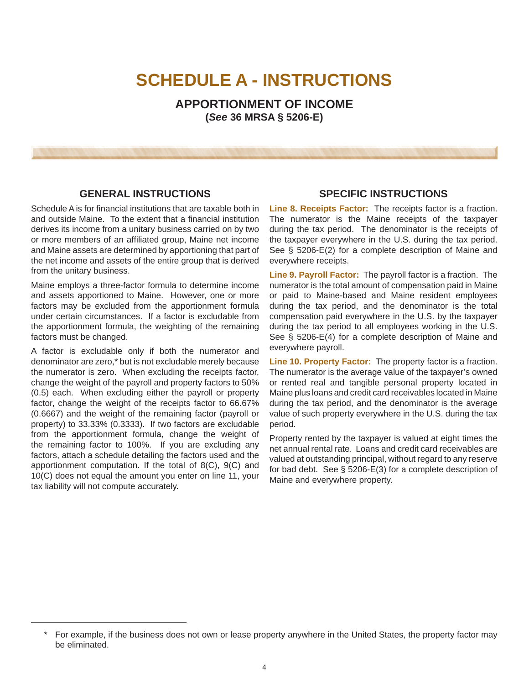## **SCHEDULE A - INSTRUCTIONS**

**APPORTIONMENT OF INCOME (***See* **36 MRSA § 5206-E)**

## **GENERAL INSTRUCTIONS**

Schedule A is for financial institutions that are taxable both in and outside Maine. To the extent that a financial institution derives its income from a unitary business carried on by two or more members of an affiliated group, Maine net income and Maine assets are determined by apportioning that part of the net income and assets of the entire group that is derived from the unitary business.

Maine employs a three-factor formula to determine income and assets apportioned to Maine. However, one or more factors may be excluded from the apportionment formula under certain circumstances. If a factor is excludable from the apportionment formula, the weighting of the remaining factors must be changed.

A factor is excludable only if both the numerator and denominator are zero,\* but is not excludable merely because the numerator is zero. When excluding the receipts factor, change the weight of the payroll and property factors to 50% (0.5) each. When excluding either the payroll or property factor, change the weight of the receipts factor to 66.67% (0.6667) and the weight of the remaining factor (payroll or property) to 33.33% (0.3333). If two factors are excludable from the apportionment formula, change the weight of the remaining factor to 100%. If you are excluding any factors, attach a schedule detailing the factors used and the apportionment computation. If the total of 8(C), 9(C) and 10(C) does not equal the amount you enter on line 11, your tax liability will not compute accurately.

## **SPECIFIC INSTRUCTIONS**

**Line 8. Receipts Factor:** The receipts factor is a fraction. The numerator is the Maine receipts of the taxpayer during the tax period. The denominator is the receipts of the taxpayer everywhere in the U.S. during the tax period. See § 5206-E(2) for a complete description of Maine and everywhere receipts.

**Line 9. Payroll Factor:** The payroll factor is a fraction. The numerator is the total amount of compensation paid in Maine or paid to Maine-based and Maine resident employees during the tax period, and the denominator is the total compensation paid everywhere in the U.S. by the taxpayer during the tax period to all employees working in the U.S. See § 5206-E(4) for a complete description of Maine and everywhere payroll.

**Line 10. Property Factor:** The property factor is a fraction. The numerator is the average value of the taxpayer's owned or rented real and tangible personal property located in Maine plus loans and credit card receivables located in Maine during the tax period, and the denominator is the average value of such property everywhere in the U.S. during the tax period.

Property rented by the taxpayer is valued at eight times the net annual rental rate. Loans and credit card receivables are valued at outstanding principal, without regard to any reserve for bad debt. See § 5206-E(3) for a complete description of Maine and everywhere property.

<sup>\*</sup> For example, if the business does not own or lease property anywhere in the United States, the property factor may be eliminated.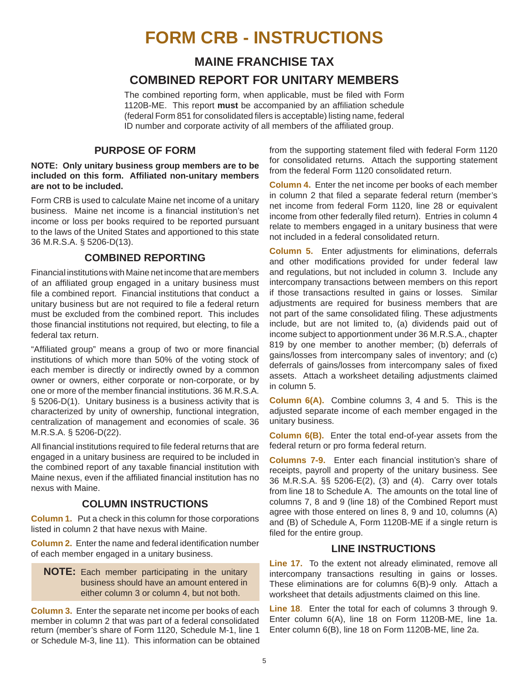## **FORM CRB - INSTRUCTIONS**

## **MAINE FRANCHISE TAX**

## **COMBINED REPORT FOR UNITARY MEMBERS**

The combined reporting form, when applicable, must be filed with Form 1120B-ME. This report must be accompanied by an affiliation schedule (federal Form 851 for consolidated filers is acceptable) listing name, federal ID number and corporate activity of all members of the affiliated group.

## **PURPOSE OF FORM**

#### **NOTE: Only unitary business group members are to be included on this form. Affi liated non-unitary members are not to be included.**

Form CRB is used to calculate Maine net income of a unitary business. Maine net income is a financial institution's net income or loss per books required to be reported pursuant to the laws of the United States and apportioned to this state 36 M.R.S.A. § 5206-D(13).

## **COMBINED REPORTING**

Financial institutions with Maine net income that are members of an affiliated group engaged in a unitary business must file a combined report. Financial institutions that conduct a unitary business but are not required to file a federal return must be excluded from the combined report. This includes those financial institutions not required, but electing, to file a federal tax return.

"Affiliated group" means a group of two or more financial institutions of which more than 50% of the voting stock of each member is directly or indirectly owned by a common owner or owners, either corporate or non-corporate, or by one or more of the member financial institutions. 36 M.R.S.A. § 5206-D(1). Unitary business is a business activity that is characterized by unity of ownership, functional integration, centralization of management and economies of scale. 36 M.R.S.A. § 5206-D(22).

All financial institutions required to file federal returns that are engaged in a unitary business are required to be included in the combined report of any taxable financial institution with Maine nexus, even if the affiliated financial institution has no nexus with Maine.

## **COLUMN INSTRUCTIONS**

**Column 1.** Put a check in this column for those corporations listed in column 2 that have nexus with Maine.

**Column 2.** Enter the name and federal identification number of each member engaged in a unitary business.

**NOTE:** Each member participating in the unitary business should have an amount entered in either column 3 or column 4, but not both.

**Column 3.** Enter the separate net income per books of each member in column 2 that was part of a federal consolidated return (member's share of Form 1120, Schedule M-1, line 1 Enter column 6(B), line 18 on Form 1120B-ME, line 2a. or Schedule M-3, line 11). This information can be obtained

from the supporting statement filed with federal Form 1120 for consolidated returns. Attach the supporting statement from the federal Form 1120 consolidated return.

**Column 4.** Enter the net income per books of each member in column 2 that filed a separate federal return (member's net income from federal Form 1120, line 28 or equivalent income from other federally filed return). Entries in column 4 relate to members engaged in a unitary business that were not included in a federal consolidated return.

**Column 5.** Enter adjustments for eliminations, deferrals and other modifications provided for under federal law and regulations, but not included in column 3. Include any intercompany transactions between members on this report if those transactions resulted in gains or losses. Similar adjustments are required for business members that are not part of the same consolidated filing. These adjustments include, but are not limited to, (a) dividends paid out of income subject to apportionment under 36 M.R.S.A., chapter 819 by one member to another member; (b) deferrals of gains/losses from intercompany sales of inventory; and (c) deferrals of gains/losses from intercompany sales of fixed assets. Attach a worksheet detailing adjustments claimed in column 5.

**Column 6(A).** Combine columns 3, 4 and 5. This is the adjusted separate income of each member engaged in the unitary business.

**Column 6(B).** Enter the total end-of-year assets from the federal return or pro forma federal return.

**Columns 7-9.** Enter each financial institution's share of receipts, payroll and property of the unitary business. See 36 M.R.S.A. §§ 5206-E(2), (3) and (4). Carry over totals from line 18 to Schedule A. The amounts on the total line of columns 7, 8 and 9 (line 18) of the Combined Report must agree with those entered on lines 8, 9 and 10, columns (A) and (B) of Schedule A, Form 1120B-ME if a single return is filed for the entire group.

## **LINE INSTRUCTIONS**

**Line 17.** To the extent not already eliminated, remove all intercompany transactions resulting in gains or losses. These eliminations are for columns 6(B)-9 only. Attach a worksheet that details adjustments claimed on this line.

**Line 18**. Enter the total for each of columns 3 through 9. Enter column 6(A), line 18 on Form 1120B-ME, line 1a.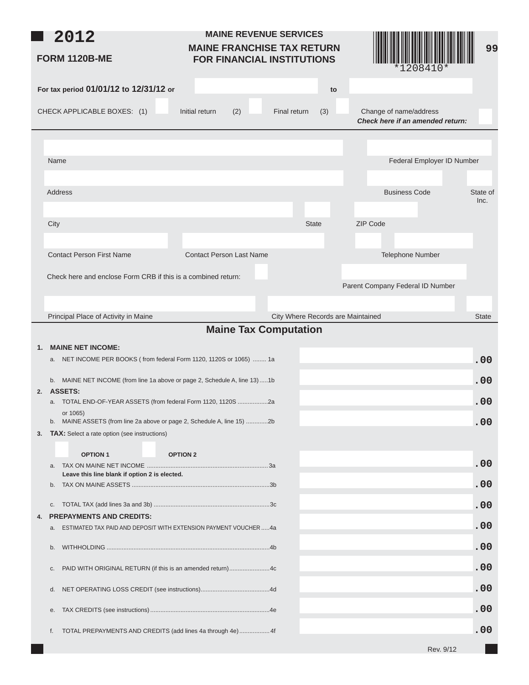| 2012<br><b>FORM 1120B-ME</b>                                                                                      | <b>MAINE REVENUE SERVICES</b><br><b>MAINE FRANCHISE TAX RETURN</b><br><b>FOR FINANCIAL INSTITUTIONS</b> |                                   | *1208410*                                                  | 99               |
|-------------------------------------------------------------------------------------------------------------------|---------------------------------------------------------------------------------------------------------|-----------------------------------|------------------------------------------------------------|------------------|
| For tax period 01/01/12 to 12/31/12 or                                                                            |                                                                                                         | to                                |                                                            |                  |
| CHECK APPLICABLE BOXES: (1)                                                                                       | Initial return<br>(2)                                                                                   | Final return<br>(3)               | Change of name/address<br>Check here if an amended return: |                  |
|                                                                                                                   |                                                                                                         |                                   |                                                            |                  |
| Name                                                                                                              |                                                                                                         |                                   | Federal Employer ID Number                                 |                  |
|                                                                                                                   |                                                                                                         |                                   |                                                            |                  |
| <b>Address</b>                                                                                                    |                                                                                                         |                                   | <b>Business Code</b>                                       | State of<br>Inc. |
|                                                                                                                   |                                                                                                         |                                   |                                                            |                  |
| City                                                                                                              |                                                                                                         | <b>State</b>                      | ZIP Code                                                   |                  |
| <b>Contact Person First Name</b>                                                                                  | <b>Contact Person Last Name</b>                                                                         |                                   | Telephone Number                                           |                  |
|                                                                                                                   |                                                                                                         |                                   |                                                            |                  |
| Check here and enclose Form CRB if this is a combined return:                                                     |                                                                                                         |                                   | Parent Company Federal ID Number                           |                  |
|                                                                                                                   |                                                                                                         |                                   |                                                            |                  |
| Principal Place of Activity in Maine                                                                              |                                                                                                         | City Where Records are Maintained |                                                            | <b>State</b>     |
|                                                                                                                   | <b>Maine Tax Computation</b>                                                                            |                                   |                                                            |                  |
| <b>MAINE NET INCOME:</b><br>$\mathbf{1}$ .<br>a. NET INCOME PER BOOKS (from federal Form 1120, 1120S or 1065)  1a |                                                                                                         |                                   |                                                            | .00              |
| b. MAINE NET INCOME (from line 1a above or page 2, Schedule A, line 13)1b                                         |                                                                                                         |                                   |                                                            | .00              |
| <b>ASSETS:</b><br>2.<br>a. TOTAL END-OF-YEAR ASSETS (from federal Form 1120, 1120S 2a                             |                                                                                                         |                                   |                                                            | .00              |
| or 1065)<br>MAINE ASSETS (from line 2a above or page 2, Schedule A, line 15) 2b<br>b.                             |                                                                                                         |                                   |                                                            | .00              |
| <b>TAX:</b> Select a rate option (see instructions)<br>3.                                                         |                                                                                                         |                                   |                                                            |                  |
| <b>OPTION 1</b>                                                                                                   | <b>OPTION 2</b>                                                                                         |                                   |                                                            |                  |
| a.<br>Leave this line blank if option 2 is elected.                                                               |                                                                                                         |                                   |                                                            | .00              |
| b.                                                                                                                |                                                                                                         |                                   |                                                            | .00              |
| C.                                                                                                                |                                                                                                         |                                   |                                                            | .00              |
| <b>PREPAYMENTS AND CREDITS:</b><br>4.<br>ESTIMATED TAX PAID AND DEPOSIT WITH EXTENSION PAYMENT VOUCHER4a<br>a.    |                                                                                                         |                                   |                                                            | .00              |
| b.                                                                                                                |                                                                                                         |                                   |                                                            | .00              |
|                                                                                                                   |                                                                                                         |                                   |                                                            |                  |
| PAID WITH ORIGINAL RETURN (if this is an amended return)4c<br>C.                                                  |                                                                                                         |                                   |                                                            | .00              |
| d.                                                                                                                |                                                                                                         |                                   |                                                            | .00              |
| е.                                                                                                                |                                                                                                         |                                   |                                                            | .00              |
| TOTAL PREPAYMENTS AND CREDITS (add lines 4a through 4e) 4f<br>f.                                                  |                                                                                                         |                                   |                                                            | .00              |
|                                                                                                                   |                                                                                                         |                                   | Rev. 9/12                                                  |                  |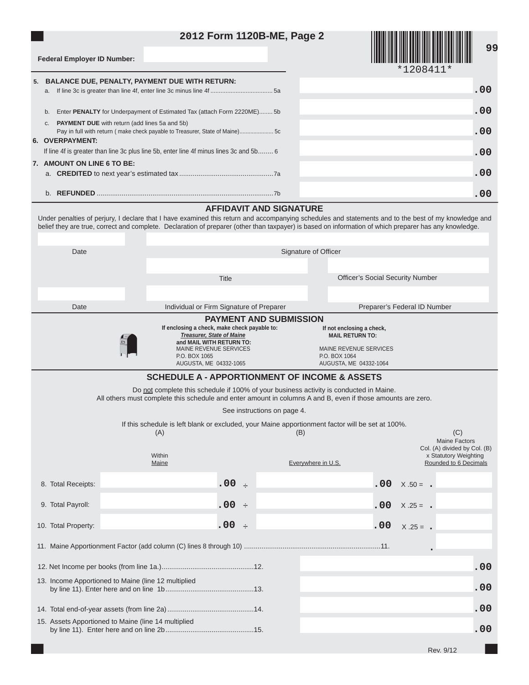## **2012 Form 1120B-ME, Page 2**



\*1208411\*

| <b>Federal Employer ID Number:</b> |  |  |
|------------------------------------|--|--|
|                                    |  |  |

| 5. BALANCE DUE, PENALTY, PAYMENT DUE WITH RETURN:                                      |     |  |  |  |  |  |
|----------------------------------------------------------------------------------------|-----|--|--|--|--|--|
| a.                                                                                     | .00 |  |  |  |  |  |
| Enter PENALTY for Underpayment of Estimated Tax (attach Form 2220ME) 5b<br>b.          | .00 |  |  |  |  |  |
| <b>PAYMENT DUE</b> with return (add lines 5a and 5b)<br>C.                             |     |  |  |  |  |  |
| Pay in full with return (make check payable to Treasurer, State of Maine)5c            | .00 |  |  |  |  |  |
| 6. OVERPAYMENT:                                                                        |     |  |  |  |  |  |
| If line 4f is greater than line 3c plus line 5b, enter line 4f minus lines 3c and 5b 6 | .00 |  |  |  |  |  |
| 7. AMOUNT ON LINE 6 TO BE:                                                             |     |  |  |  |  |  |
|                                                                                        | .00 |  |  |  |  |  |
|                                                                                        | .00 |  |  |  |  |  |
| AFFIDAVIT AND SIGNATURE                                                                |     |  |  |  |  |  |

#### **AFFIDAVIT AND SIGNATURE**

Under penalties of perjury, I declare that I have examined this return and accompanying schedules and statements and to the best of my knowledge and belief they are true, correct and complete. Declaration of preparer (other than taxpayer) is based on information of which preparer has any knowledge.

| Date                |                                                                                                             |                                                                               | Signature of Officer                                                                   |                                                       |     |  |
|---------------------|-------------------------------------------------------------------------------------------------------------|-------------------------------------------------------------------------------|----------------------------------------------------------------------------------------|-------------------------------------------------------|-----|--|
|                     |                                                                                                             |                                                                               |                                                                                        |                                                       |     |  |
|                     |                                                                                                             | <b>Title</b>                                                                  |                                                                                        | <b>Officer's Social Security Number</b>               |     |  |
|                     |                                                                                                             |                                                                               |                                                                                        |                                                       |     |  |
| Date                |                                                                                                             | Individual or Firm Signature of Preparer                                      |                                                                                        | Preparer's Federal ID Number                          |     |  |
|                     |                                                                                                             | <b>PAYMENT AND SUBMISSION</b><br>If enclosing a check, make check payable to: | If not enclosing a check,                                                              |                                                       |     |  |
|                     | <b>Treasurer, State of Maine</b><br>and MAIL WITH RETURN TO:                                                |                                                                               | <b>MAIL RETURN TO:</b>                                                                 |                                                       |     |  |
|                     | <b>MAINE REVENUE SERVICES</b><br>P.O. BOX 1065                                                              |                                                                               | <b>MAINE REVENUE SERVICES</b><br>P.O. BOX 1064                                         |                                                       |     |  |
|                     | AUGUSTA, ME 04332-1065                                                                                      |                                                                               | AUGUSTA, ME 04332-1064                                                                 |                                                       |     |  |
|                     |                                                                                                             |                                                                               | <b>SCHEDULE A - APPORTIONMENT OF INCOME &amp; ASSETS</b>                               |                                                       |     |  |
|                     | All others must complete this schedule and enter amount in columns A and B, even if those amounts are zero. |                                                                               | Do not complete this schedule if 100% of your business activity is conducted in Maine. |                                                       |     |  |
|                     |                                                                                                             | See instructions on page 4.                                                   |                                                                                        |                                                       |     |  |
|                     | If this schedule is left blank or excluded, your Maine apportionment factor will be set at 100%.            |                                                                               |                                                                                        |                                                       |     |  |
|                     | (A)                                                                                                         |                                                                               | (B)                                                                                    | (C)<br>Maine Factors                                  |     |  |
|                     | Within                                                                                                      |                                                                               |                                                                                        | Col. (A) divided by Col. (B)<br>x Statutory Weighting |     |  |
|                     | Maine                                                                                                       |                                                                               | Everywhere in U.S.                                                                     | Rounded to 6 Decimals                                 |     |  |
| 8. Total Receipts:  |                                                                                                             | .00 :                                                                         |                                                                                        | .00<br>$X .50 = -$                                    |     |  |
|                     |                                                                                                             |                                                                               |                                                                                        |                                                       |     |  |
| 9. Total Payroll:   |                                                                                                             | $.00$ $\div$                                                                  |                                                                                        | .00.<br>$X .25 = -$                                   |     |  |
| 10. Total Property: |                                                                                                             | $.00 \,$<br>$\rightarrow$                                                     |                                                                                        | .00<br>$X.25 = .$                                     |     |  |
|                     |                                                                                                             |                                                                               |                                                                                        |                                                       |     |  |
|                     |                                                                                                             |                                                                               |                                                                                        |                                                       | .00 |  |
|                     | 13. Income Apportioned to Maine (line 12 multiplied                                                         |                                                                               |                                                                                        |                                                       |     |  |
|                     |                                                                                                             |                                                                               |                                                                                        |                                                       | .00 |  |
|                     |                                                                                                             |                                                                               |                                                                                        |                                                       | .00 |  |
|                     | 15. Assets Apportioned to Maine (line 14 multiplied                                                         |                                                                               |                                                                                        |                                                       | .00 |  |
|                     |                                                                                                             |                                                                               |                                                                                        |                                                       |     |  |
|                     |                                                                                                             |                                                                               |                                                                                        | Rev. 9/12                                             |     |  |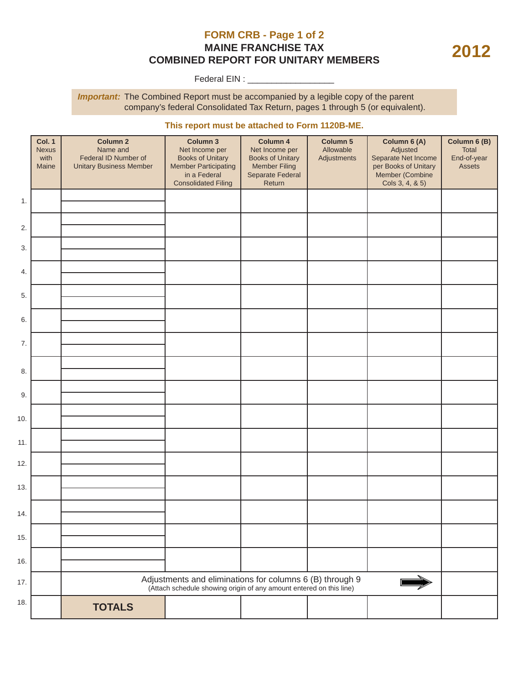## **FORM CRB - Page 1 of 2 MAINE FRANCHISE TAX COMBINED REPORT FOR UNITARY MEMBERS**

Federal EIN : \_\_\_\_\_\_\_\_\_\_\_\_\_\_\_\_\_\_

**Important:** The Combined Report must be accompanied by a legible copy of the parent company's federal Consolidated Tax Return, pages 1 through 5 (or equivalent).

#### **This report must be attached to Form 1120B-ME.**

|     | <b>Col. 1</b><br><b>Nexus</b><br>with<br>Maine | <b>Column 2</b><br>Name and<br>Federal ID Number of<br><b>Unitary Business Member</b> | Column 3<br>Net Income per<br><b>Books of Unitary</b><br><b>Member Participating</b><br>in a Federal<br><b>Consolidated Filing</b> | Column 4<br>Net Income per<br><b>Books of Unitary</b><br><b>Member Filing</b><br>Separate Federal<br>Return | Column 5<br>Allowable<br>Adjustments | Column 6 (A)<br>Adjusted<br>Separate Net Income<br>per Books of Unitary<br>Member (Combine<br>Cols 3, 4, & 5) | Column 6 (B)<br>Total<br>End-of-year<br>Assets |
|-----|------------------------------------------------|---------------------------------------------------------------------------------------|------------------------------------------------------------------------------------------------------------------------------------|-------------------------------------------------------------------------------------------------------------|--------------------------------------|---------------------------------------------------------------------------------------------------------------|------------------------------------------------|
| 1.  |                                                |                                                                                       |                                                                                                                                    |                                                                                                             |                                      |                                                                                                               |                                                |
| 2.  |                                                |                                                                                       |                                                                                                                                    |                                                                                                             |                                      |                                                                                                               |                                                |
| 3.  |                                                |                                                                                       |                                                                                                                                    |                                                                                                             |                                      |                                                                                                               |                                                |
| 4.  |                                                |                                                                                       |                                                                                                                                    |                                                                                                             |                                      |                                                                                                               |                                                |
| 5.  |                                                |                                                                                       |                                                                                                                                    |                                                                                                             |                                      |                                                                                                               |                                                |
| 6.  |                                                |                                                                                       |                                                                                                                                    |                                                                                                             |                                      |                                                                                                               |                                                |
| 7.  |                                                |                                                                                       |                                                                                                                                    |                                                                                                             |                                      |                                                                                                               |                                                |
| 8.  |                                                |                                                                                       |                                                                                                                                    |                                                                                                             |                                      |                                                                                                               |                                                |
| 9.  |                                                |                                                                                       |                                                                                                                                    |                                                                                                             |                                      |                                                                                                               |                                                |
| 10. |                                                |                                                                                       |                                                                                                                                    |                                                                                                             |                                      |                                                                                                               |                                                |
| 11. |                                                |                                                                                       |                                                                                                                                    |                                                                                                             |                                      |                                                                                                               |                                                |
| 12. |                                                |                                                                                       |                                                                                                                                    |                                                                                                             |                                      |                                                                                                               |                                                |
| 13. |                                                |                                                                                       |                                                                                                                                    |                                                                                                             |                                      |                                                                                                               |                                                |
| 14. |                                                |                                                                                       |                                                                                                                                    |                                                                                                             |                                      |                                                                                                               |                                                |
| 15. |                                                |                                                                                       |                                                                                                                                    |                                                                                                             |                                      |                                                                                                               |                                                |
| 16. |                                                |                                                                                       |                                                                                                                                    |                                                                                                             |                                      |                                                                                                               |                                                |
| 17. |                                                |                                                                                       | Adjustments and eliminations for columns 6 (B) through 9<br>(Attach schedule showing origin of any amount entered on this line)    |                                                                                                             |                                      |                                                                                                               |                                                |
| 18. |                                                | <b>TOTALS</b>                                                                         |                                                                                                                                    |                                                                                                             |                                      |                                                                                                               |                                                |